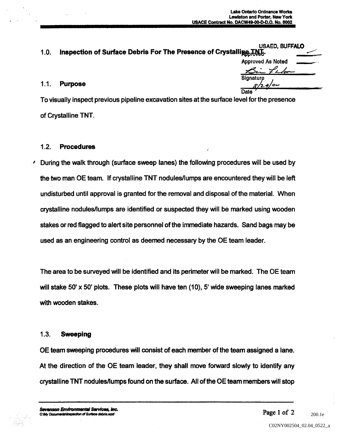| 1.0. | USAED, BUFFALO<br>Inspection of Surface Debris For The Presence of Crystallige TNT.          |                          |
|------|----------------------------------------------------------------------------------------------|--------------------------|
|      |                                                                                              | <b>Approved As Noted</b> |
|      |                                                                                              | Bin Labor                |
| 1.1. | <b>Purpose</b>                                                                               | Signature<br>8/24/00     |
|      |                                                                                              | Date                     |
|      | To vieuglly inenect provious pipoline evequation sites at the surface level for the presence |                          |

To visually inspect previous pipeline excavation sites at the surface level for the presence of Crystalline TNT

## 1.2 Procedures

During the walk through (surface sweep lanes) the following procedures will be used by the two man OE team If crystalline TNT nodules/lumps are encountered they will be left undisturbed until approval is granted for the removal and disposal of the material When crystalline nodules/lumps are identified or suspected they will be marked using wooden stakes or red flagged to alert site personnel of the immediate hazards. Sand bags may be used as an engineering control as deemed necessary by the OE team leader

The area to be surveyed will be identified and its perimeter will be marked. The OE team will stake 50' x 50' plots. These plots will have ten  $(10)$ , 5' wide sweeping lanes marked with wooden stakes.

## 1.3 Sweeping

OE team sweeping procedures will consist of each member of the team assigned a lane. At the direction of the OE team leader, they shall move forward slowly to identify any crystalline TNT nodules/lumps found on the surface All of the OE team members will stop